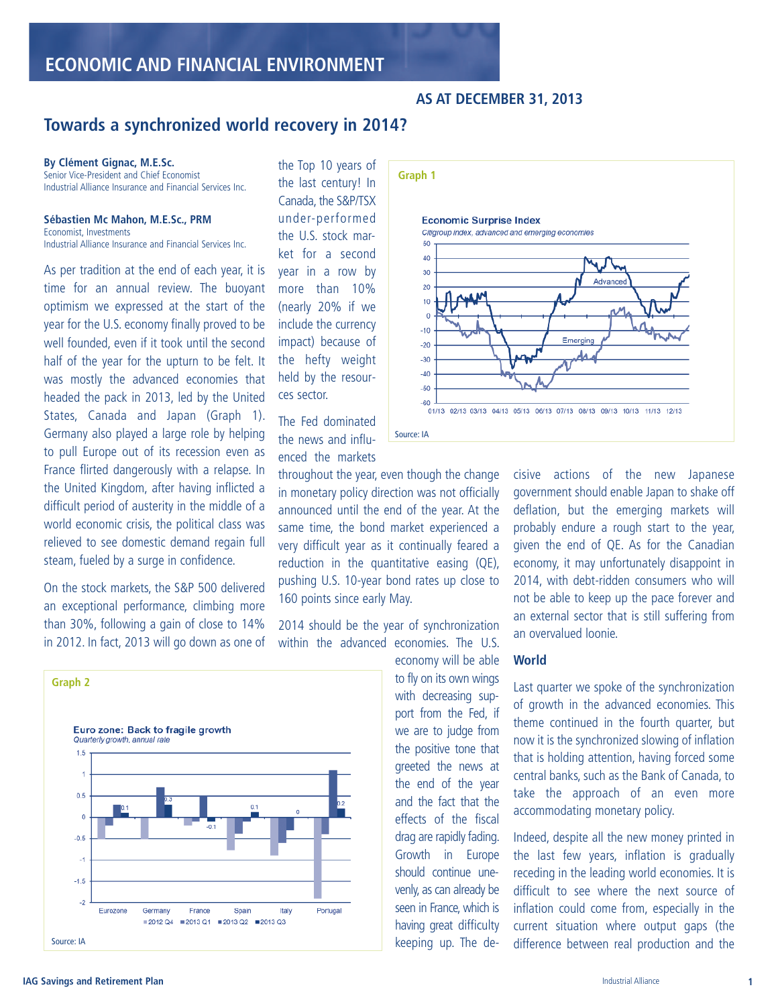# **AS AT DECEMBER 31, 2013**

# **Towards a synchronized world recovery in 2014?**

### **By Clément Gignac, M.E.Sc.**

Senior Vice-President and Chief Economist Industrial Alliance Insurance and Financial Services Inc.

### **Sébastien Mc Mahon, M.E.Sc., PRM**

Economist, Investments Industrial Alliance Insurance and Financial Services Inc.

As per tradition at the end of each year, it is time for an annual review. The buoyant optimism we expressed at the start of the year for the U.S. economy finally proved to be well founded, even if it took until the second half of the year for the upturn to be felt. It was mostly the advanced economies that headed the pack in 2013, led by the United States, Canada and Japan (Graph 1). Germany also played a large role by helping to pull Europe out of its recession even as France flirted dangerously with a relapse. In the United Kingdom, after having inflicted a difficult period of austerity in the middle of a world economic crisis, the political class was relieved to see domestic demand regain full steam, fueled by a surge in confidence.

On the stock markets, the S&P 500 delivered an exceptional performance, climbing more than 30%, following a gain of close to 14% in 2012. In fact, 2013 will go down as one of



the Top 10 years of the last century! In Canada, the S&P/TSX under-performed the U.S. stock market for a second year in a row by more than 10% (nearly 20% if we include the currency impact) because of the hefty weight held by the resources sector.

The Fed dominated the news and influenced the markets

throughout the year, even though the change in monetary policy direction was not officially announced until the end of the year. At the same time, the bond market experienced a very difficult year as it continually feared a reduction in the quantitative easing (QE), pushing U.S. 10-year bond rates up close to 160 points since early May.

2014 should be the year of synchronization within the advanced economies. The U.S.

> economy will be able to fly on its own wings with decreasing support from the Fed, if we are to judge from the positive tone that greeted the news at the end of the year and the fact that the effects of the fiscal drag are rapidly fading. Growth in Europe should continue unevenly, as can already be seen in France, which is having great difficulty keeping up. The de-



cisive actions of the new Japanese government should enable Japan to shake off deflation, but the emerging markets will probably endure a rough start to the year, given the end of QE. As for the Canadian economy, it may unfortunately disappoint in 2014, with debt-ridden consumers who will not be able to keep up the pace forever and an external sector that is still suffering from an overvalued loonie.

### **World**

Last quarter we spoke of the synchronization of growth in the advanced economies. This theme continued in the fourth quarter, but now it is the synchronized slowing of inflation that is holding attention, having forced some central banks, such as the Bank of Canada, to take the approach of an even more accommodating monetary policy.

Indeed, despite all the new money printed in the last few years, inflation is gradually receding in the leading world economies. It is difficult to see where the next source of inflation could come from, especially in the current situation where output gaps (the difference between real production and the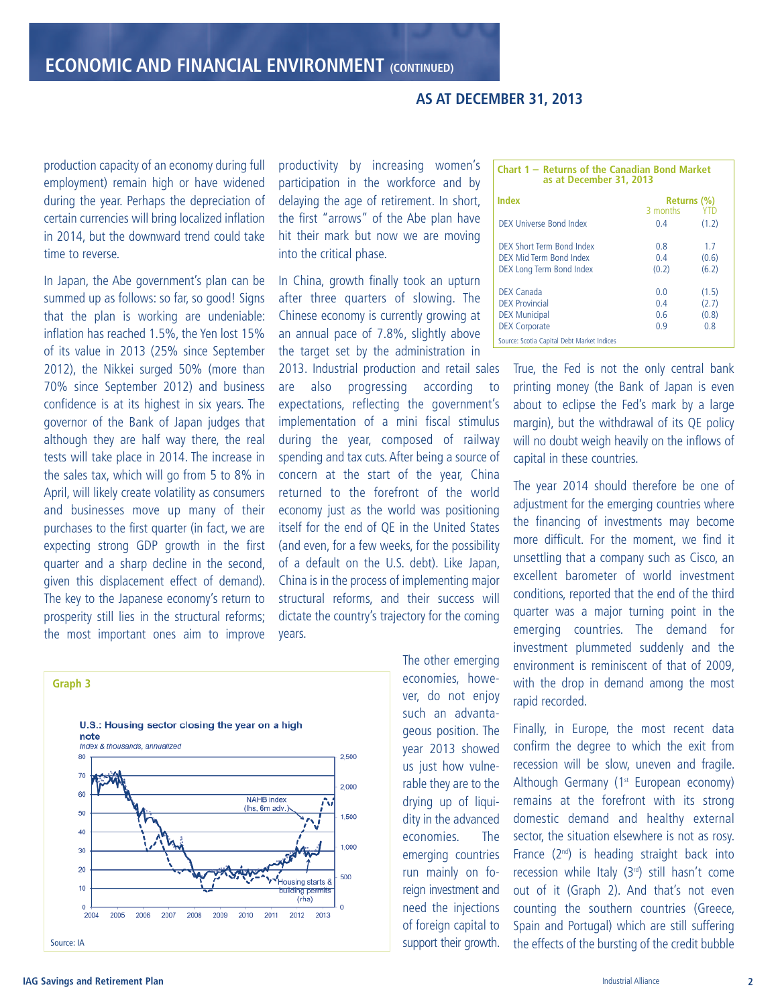# **AS AT DECEMBER 31, 2013**

production capacity of an economy during full employment) remain high or have widened during the year. Perhaps the depreciation of certain currencies will bring localized inflation in 2014, but the downward trend could take time to reverse.

In Japan, the Abe government's plan can be summed up as follows: so far, so good! Signs that the plan is working are undeniable: inflation has reached 1.5%, the Yen lost 15% of its value in 2013 (25% since September 2012), the Nikkei surged 50% (more than 70% since September 2012) and business confidence is at its highest in six years. The governor of the Bank of Japan judges that although they are half way there, the real tests will take place in 2014. The increase in the sales tax, which will go from 5 to 8% in April, will likely create volatility as consumers and businesses move up many of their purchases to the first quarter (in fact, we are expecting strong GDP growth in the first quarter and a sharp decline in the second, given this displacement effect of demand). The key to the Japanese economy's return to prosperity still lies in the structural reforms; the most important ones aim to improve

productivity by increasing women's participation in the workforce and by delaying the age of retirement. In short, the first "arrows" of the Abe plan have hit their mark but now we are moving into the critical phase.

In China, growth finally took an upturn after three quarters of slowing. The Chinese economy is currently growing at an annual pace of 7.8%, slightly above the target set by the administration in

2013. Industrial production and retail sales are also progressing according to expectations, reflecting the government's implementation of a mini fiscal stimulus during the year, composed of railway spending and tax cuts.After being a source of concern at the start of the year, China returned to the forefront of the world economy just as the world was positioning itself for the end of QE in the United States (and even, for a few weeks, for the possibility of a default on the U.S. debt). Like Japan, China is in the process of implementing major structural reforms, and their success will dictate the country's trajectory for the coming years.



The other emerging economies, however, do not enjoy such an advantageous position. The year 2013 showed us just how vulnerable they are to the drying up of liquidity in the advanced economies. The emerging countries run mainly on foreign investment and need the injections of foreign capital to support their growth.

| Chart 1 – Returns of the Canadian Bond Market<br>as at December 31, 2013 |             |            |  |  |
|--------------------------------------------------------------------------|-------------|------------|--|--|
| Index                                                                    | Returns (%) |            |  |  |
|                                                                          | 3 months    | <b>YTD</b> |  |  |
| DEX Universe Bond Index                                                  | 04          | (1.2)      |  |  |
| DEX Short Term Bond Index                                                | 08          | 17         |  |  |
| DEX Mid Term Bond Index                                                  | 0.4         | (0.6)      |  |  |
| DEX Long Term Bond Index                                                 | (0.2)       | (6.2)      |  |  |
| DEX Canada                                                               | 0 O         | (1.5)      |  |  |
| <b>DEX Provincial</b>                                                    | 0.4         | (2.7)      |  |  |
| <b>DEX Municipal</b>                                                     | 06          | (0.8)      |  |  |
| <b>DEX Corporate</b>                                                     | 09          | 08         |  |  |
| Source: Scotia Capital Debt Market Indices                               |             |            |  |  |

True, the Fed is not the only central bank printing money (the Bank of Japan is even about to eclipse the Fed's mark by a large margin), but the withdrawal of its QE policy will no doubt weigh heavily on the inflows of capital in these countries.

The year 2014 should therefore be one of adjustment for the emerging countries where the financing of investments may become more difficult. For the moment, we find it unsettling that a company such as Cisco, an excellent barometer of world investment conditions, reported that the end of the third quarter was a major turning point in the emerging countries. The demand for investment plummeted suddenly and the environment is reminiscent of that of 2009, with the drop in demand among the most rapid recorded.

Finally, in Europe, the most recent data confirm the degree to which the exit from recession will be slow, uneven and fragile. Although Germany (1<sup>st</sup> European economy) remains at the forefront with its strong domestic demand and healthy external sector, the situation elsewhere is not as rosy. France (2nd ) is heading straight back into recession while Italy (3rd ) still hasn't come out of it (Graph 2). And that's not even counting the southern countries (Greece, Spain and Portugal) which are still suffering the effects of the bursting of the credit bubble

## **IAG Savings and Retirement Plan 2 2**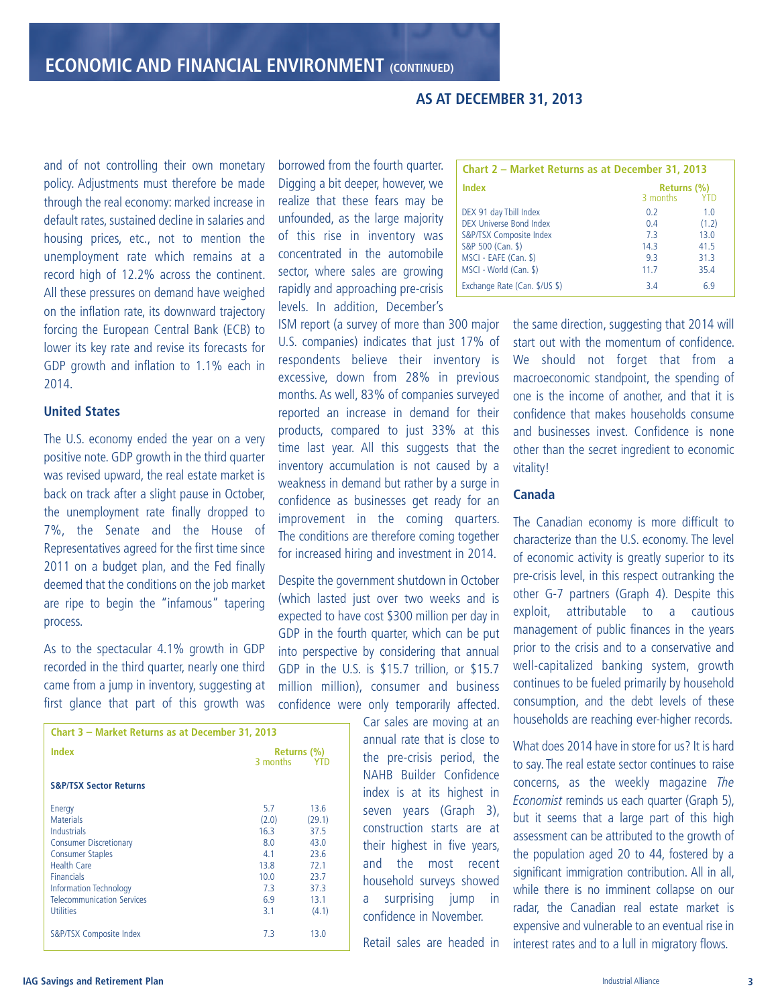# and of not controlling their own monetary policy. Adjustments must therefore be made through the real economy: marked increase in default rates, sustained decline in salaries and housing prices, etc., not to mention the unemployment rate which remains at a record high of 12.2% across the continent. All these pressures on demand have weighed on the inflation rate, its downward trajectory forcing the European Central Bank (ECB) to lower its key rate and revise its forecasts for GDP growth and inflation to 1.1% each in 2014.

## **United States**

The U.S. economy ended the year on a very positive note. GDP growth in the third quarter was revised upward, the real estate market is back on track after a slight pause in October, the unemployment rate finally dropped to 7%, the Senate and the House of Representatives agreed for the first time since 2011 on a budget plan, and the Fed finally deemed that the conditions on the job market are ripe to begin the "infamous" tapering process.

As to the spectacular 4.1% growth in GDP recorded in the third quarter, nearly one third came from a jump in inventory, suggesting at first glance that part of this growth was

| Chart 3 - Market Returns as at December 31, 2013 |             |        |  |  |
|--------------------------------------------------|-------------|--------|--|--|
| Index                                            | Returns (%) |        |  |  |
|                                                  | 3 months    | YTD    |  |  |
| <b>S&amp;P/TSX Sector Returns</b>                |             |        |  |  |
| Energy                                           | 5.7         | 13.6   |  |  |
| <b>Materials</b>                                 | (2.0)       | (29.1) |  |  |
| <b>Industrials</b>                               | 16.3        | 37.5   |  |  |
| <b>Consumer Discretionary</b>                    | 8.0         | 43.0   |  |  |
| <b>Consumer Staples</b>                          | 41          | 23.6   |  |  |
| <b>Health Care</b>                               | 13.8        | 72.1   |  |  |
| <b>Financials</b>                                | 10.0        | 23.7   |  |  |
| <b>Information Technology</b>                    | 7.3         | 37.3   |  |  |
| <b>Telecommunication Services</b>                | 6.9         | 13.1   |  |  |
| <b>Utilities</b>                                 | 3.1         | (4.1)  |  |  |
| S&P/TSX Composite Index                          | 7.3         | 13.0   |  |  |

borrowed from the fourth quarter. Digging a bit deeper, however, we realize that these fears may be unfounded, as the large majority of this rise in inventory was concentrated in the automobile sector, where sales are growing rapidly and approaching pre-crisis levels. In addition, December's

ISM report (a survey of more than 300 major U.S. companies) indicates that just 17% of respondents believe their inventory is excessive, down from 28% in previous months. As well, 83% of companies surveyed reported an increase in demand for their products, compared to just 33% at this time last year. All this suggests that the inventory accumulation is not caused by a weakness in demand but rather by a surge in confidence as businesses get ready for an improvement in the coming quarters. The conditions are therefore coming together for increased hiring and investment in 2014.

Despite the government shutdown in October (which lasted just over two weeks and is expected to have cost \$300 million per day in GDP in the fourth quarter, which can be put into perspective by considering that annual GDP in the U.S. is \$15.7 trillion, or \$15.7 million million), consumer and business confidence were only temporarily affected.

> Car sales are moving at an annual rate that is close to the pre-crisis period, the NAHB Builder Confidence index is at its highest in seven years (Graph 3), construction starts are at their highest in five years, and the most recent household surveys showed a surprising jump in confidence in November.

> Retail sales are headed in

| Chart 2 - Market Returns as at December 31, 2013 |                         |       |  |
|--------------------------------------------------|-------------------------|-------|--|
| <b>Index</b>                                     | Returns (%)<br>3 months | - YTD |  |
| DEX 91 day Tbill Index                           | 0.2                     | 1.0   |  |
| DEX Universe Bond Index                          | 04                      | (1.2) |  |
| S&P/TSX Composite Index                          | 7.3                     | 13.0  |  |
| S&P 500 (Can. \$)                                | 14.3                    | 41.5  |  |
| MSCI - EAFE (Can. \$)                            | 93                      | 31.3  |  |
| MSCI - World (Can. \$)                           | 11.7                    | 35.4  |  |
| Exchange Rate (Can. \$/US \$)                    | 34                      | 69    |  |

the same direction, suggesting that 2014 will start out with the momentum of confidence. We should not forget that from a macroeconomic standpoint, the spending of one is the income of another, and that it is confidence that makes households consume and businesses invest. Confidence is none other than the secret ingredient to economic vitality!

# **Canada**

**AS AT DECEMBER 31, 2013**

The Canadian economy is more difficult to characterize than the U.S. economy. The level of economic activity is greatly superior to its pre-crisis level, in this respect outranking the other G-7 partners (Graph 4). Despite this exploit, attributable to a cautious management of public finances in the years prior to the crisis and to a conservative and well-capitalized banking system, growth continues to be fueled primarily by household consumption, and the debt levels of these households are reaching ever-higher records.

What does 2014 have in store for us? It is hard to say. The real estate sector continues to raise concerns, as the weekly magazine The Economist reminds us each quarter (Graph 5), but it seems that a large part of this high assessment can be attributed to the growth of the population aged 20 to 44, fostered by a significant immigration contribution. All in all, while there is no imminent collapse on our radar, the Canadian real estate market is expensive and vulnerable to an eventual rise in interest rates and to a lull in migratory flows.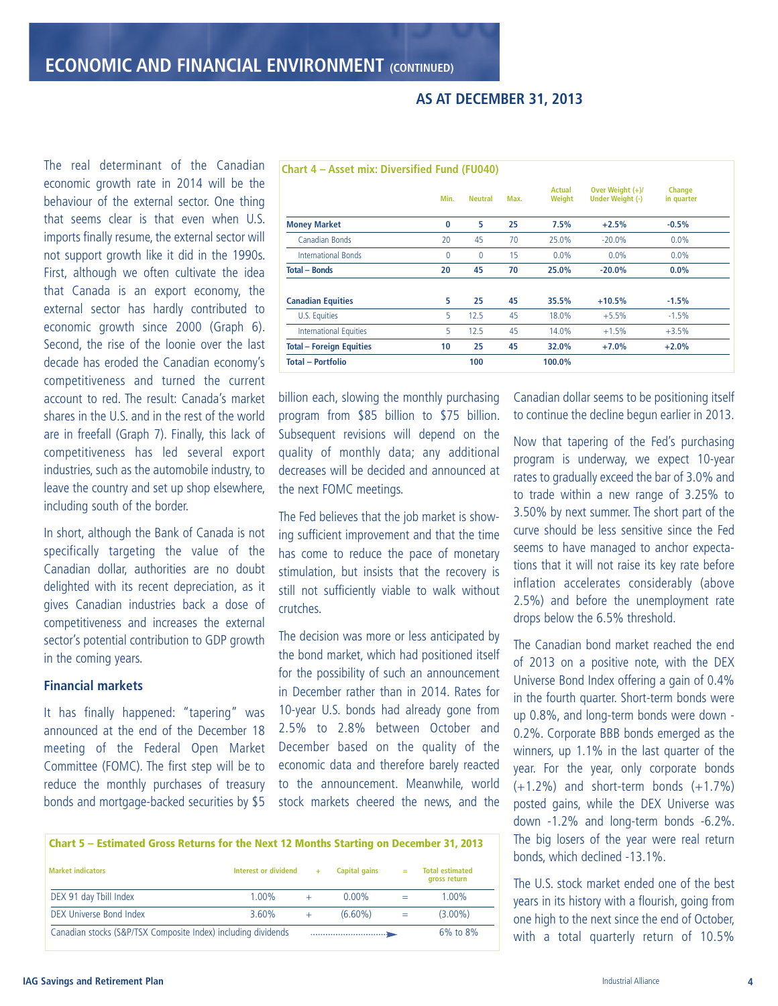|                                 | Min. | <b>Neutral</b> | Max. | <b>Actual</b><br>Weight | Over Weight $(+)$ /<br><b>Under Weight (-)</b> | <b>Change</b><br>in quarter |
|---------------------------------|------|----------------|------|-------------------------|------------------------------------------------|-----------------------------|
| <b>Money Market</b>             | 0    | 5              | 25   | 7.5%                    | $+2.5%$                                        | $-0.5%$                     |
| Canadian Bonds                  | 20   | 45             | 70   | 25.0%                   | $-20.0%$                                       | $0.0\%$                     |
| <b>International Bonds</b>      | 0    | $\mathbf{0}$   | 15   | 0.0%                    | $0.0\%$                                        | 0.0%                        |
| <b>Total - Bonds</b>            | 20   | 45             | 70   | 25.0%                   | $-20.0%$                                       | $0.0\%$                     |
| <b>Canadian Equities</b>        | 5    | 25             | 45   | 35.5%                   | $+10.5%$                                       | $-1.5%$                     |
| U.S. Equities                   | 5    | 12.5           | 45   | 18.0%                   | $+5.5%$                                        | $-1.5%$                     |
| <b>International Equities</b>   | 5    | 12.5           | 45   | 14.0%                   | $+1.5%$                                        | $+3.5%$                     |
| <b>Total - Foreign Equities</b> | 10   | 25             | 45   | 32.0%                   | $+7.0%$                                        | $+2.0%$                     |
| <b>Total - Portfolio</b>        |      | 100            |      | 100.0%                  |                                                |                             |

**AS AT DECEMBER 31, 2013**

economic growth rate in 2014 will be the behaviour of the external sector. One thing that seems clear is that even when U.S. imports finally resume, the external sector will not support growth like it did in the 1990s. First, although we often cultivate the idea that Canada is an export economy, the external sector has hardly contributed to economic growth since 2000 (Graph 6). Second, the rise of the loonie over the last decade has eroded the Canadian economy's competitiveness and turned the current account to red. The result: Canada's market shares in the U.S. and in the rest of the world are in freefall (Graph 7). Finally, this lack of competitiveness has led several export industries, such as the automobile industry, to leave the country and set up shop elsewhere, including south of the border.

The real determinant of the Canadian

In short, although the Bank of Canada is not specifically targeting the value of the Canadian dollar, authorities are no doubt delighted with its recent depreciation, as it gives Canadian industries back a dose of competitiveness and increases the external sector's potential contribution to GDP growth in the coming years.

# **Financial markets**

It has finally happened: "tapering" was announced at the end of the December 18 meeting of the Federal Open Market Committee (FOMC). The first step will be to reduce the monthly purchases of treasury bonds and mortgage-backed securities by \$5

billion each, slowing the monthly purchasing program from \$85 billion to \$75 billion. Subsequent revisions will depend on the quality of monthly data; any additional decreases will be decided and announced at the next FOMC meetings.

The Fed believes that the job market is showing sufficient improvement and that the time has come to reduce the pace of monetary stimulation, but insists that the recovery is still not sufficiently viable to walk without crutches.

The decision was more or less anticipated by the bond market, which had positioned itself for the possibility of such an announcement in December rather than in 2014. Rates for 10-year U.S. bonds had already gone from 2.5% to 2.8% between October and December based on the quality of the economic data and therefore barely reacted to the announcement. Meanwhile, world stock markets cheered the news, and the

Canadian dollar seems to be positioning itself to continue the decline begun earlier in 2013.

Now that tapering of the Fed's purchasing program is underway, we expect 10-year rates to gradually exceed the bar of 3.0% and to trade within a new range of 3.25% to 3.50% by next summer. The short part of the curve should be less sensitive since the Fed seems to have managed to anchor expectations that it will not raise its key rate before inflation accelerates considerably (above 2.5%) and before the unemployment rate drops below the 6.5% threshold.

The Canadian bond market reached the end of 2013 on a positive note, with the DEX Universe Bond Index offering a gain of 0.4% in the fourth quarter. Short-term bonds were up 0.8%, and long-term bonds were down - 0.2%. Corporate BBB bonds emerged as the winners, up 1.1% in the last quarter of the year. For the year, only corporate bonds  $(+1.2\%)$  and short-term bonds  $(+1.7\%)$ posted gains, while the DEX Universe was down -1.2% and long-term bonds -6.2%. The big losers of the year were real return bonds, which declined -13.1%.

The U.S. stock market ended one of the best years in its history with a flourish, going from one high to the next since the end of October, with a total quarterly return of 10.5%

| Chart 5 – Estimated Gross Returns for the Next 12 Months Starting on December 31, 2013 |                      |  |                      |     |                                        |
|----------------------------------------------------------------------------------------|----------------------|--|----------------------|-----|----------------------------------------|
| <b>Market indicators</b>                                                               | Interest or dividend |  | <b>Capital gains</b> | $=$ | <b>Total estimated</b><br>gross return |
| DEX 91 day Tbill Index                                                                 | $1.00\%$             |  | $0.00\%$             |     | $1.00\%$                               |
| DEX Universe Bond Index                                                                | 3.60%                |  | $(6.60\%)$           |     | $(3.00\%)$                             |
| Canadian stocks (S&P/TSX Composite Index) including dividends                          |                      |  |                      |     | 6% to 8%                               |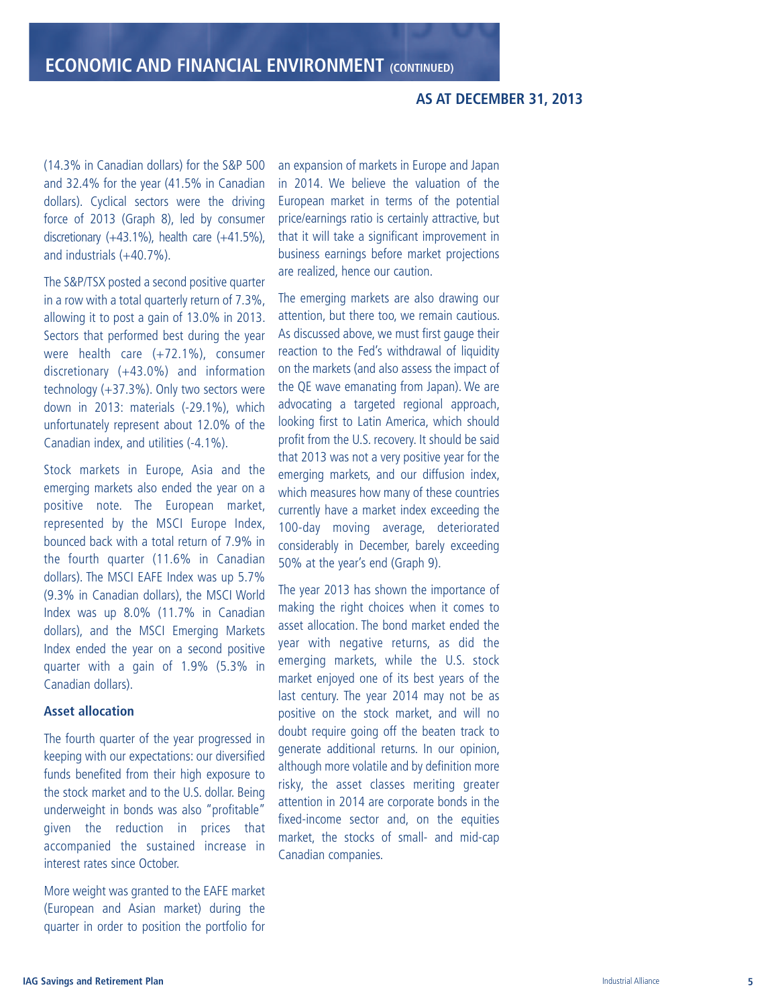# **A S AT D E C E M B E R 3 1 , 2 0 1 3**

(14.3% in Canadian dollars) for the S&P 500 and 32.4% for the year (41.5% in Canadian dollars). Cyclical sectors were the driving force of 2013 (Graph 8), led by consumer discretionary  $(+43.1\%)$ , health care  $(+41.5\%)$ , and industrials (+40.7%).

The S&P/TSX posted a second positive quarter in a row with a total quarterly return of 7.3%, allowing it to post a gain of 13.0% in 2013. Sectors that performed best during the year were health care (+72.1%), consumer discretionary (+43.0%) and information technology (+37.3%). Only two sectors were down in 2013: materials (-29.1%), which unfortunately represent about 12.0% of the Canadian index, and utilities (-4.1%).

Stock markets in Europe, Asia and the emerging markets also ended the year on a positive note. The European market, represented by the MSCI Europe Index, bounced back with a total return of 7.9% in the fourth quarter (11.6% in Canadian dollars). The MSCI EAFE Index was up 5.7% (9.3% in Canadian dollars), the MSCI World Index was up 8.0% (11.7% in Canadian dollars), and the MSCI Emerging Markets Index ended the year on a second positive quarter with a gain of 1.9% (5.3% in Canadian dollars).

## **Asset allocation**

The fourth quarter of the year progressed in keeping with our expectations: our diversified funds benefited from their high exposure to the stock market and to the U.S. dollar. Being underweight in bonds was also "profitable" given the reduction in prices that accompanied the sustained increase in interest rates since October.

More weight was granted to the EAFE market (European and Asian market) during the quarter in order to position the portfolio for an expansion of markets in Europe and Japan in 2014. We believe the valuation of the European market in terms of the potential price/earnings ratio is certainly attractive, but that it will take a significant improvement in business earnings before market projections are realized, hence our caution.

The emerging markets are also drawing our attention, but there too, we remain cautious. As discussed above, we must first gauge their reaction to the Fed's withdrawal of liquidity on the markets (and also assess the impact of the QE wave emanating from Japan). We are advocating a targeted regional approach, looking first to Latin America, which should profit from the U.S. recovery. It should be said that 2013 was not a very positive year for the emerging markets, and our diffusion index, which measures how many of these countries currently have a market index exceeding the 100-day moving average, deteriorated considerably in December, barely exceeding 50% at the year's end (Graph 9).

The year 2013 has shown the importance of making the right choices when it comes to asset allocation. The bond market ended the year with negative returns, as did the emerging markets, while the U.S. stock market enjoyed one of its best years of the last century. The year 2014 may not be as positive on the stock market, and will no doubt require going off the beaten track to generate additional returns. In our opinion, although more volatile and by definition more risky, the asset classes meriting greater attention in 2014 are corporate bonds in the fixed-income sector and, on the equities market, the stocks of small- and mid-cap Canadian companies.